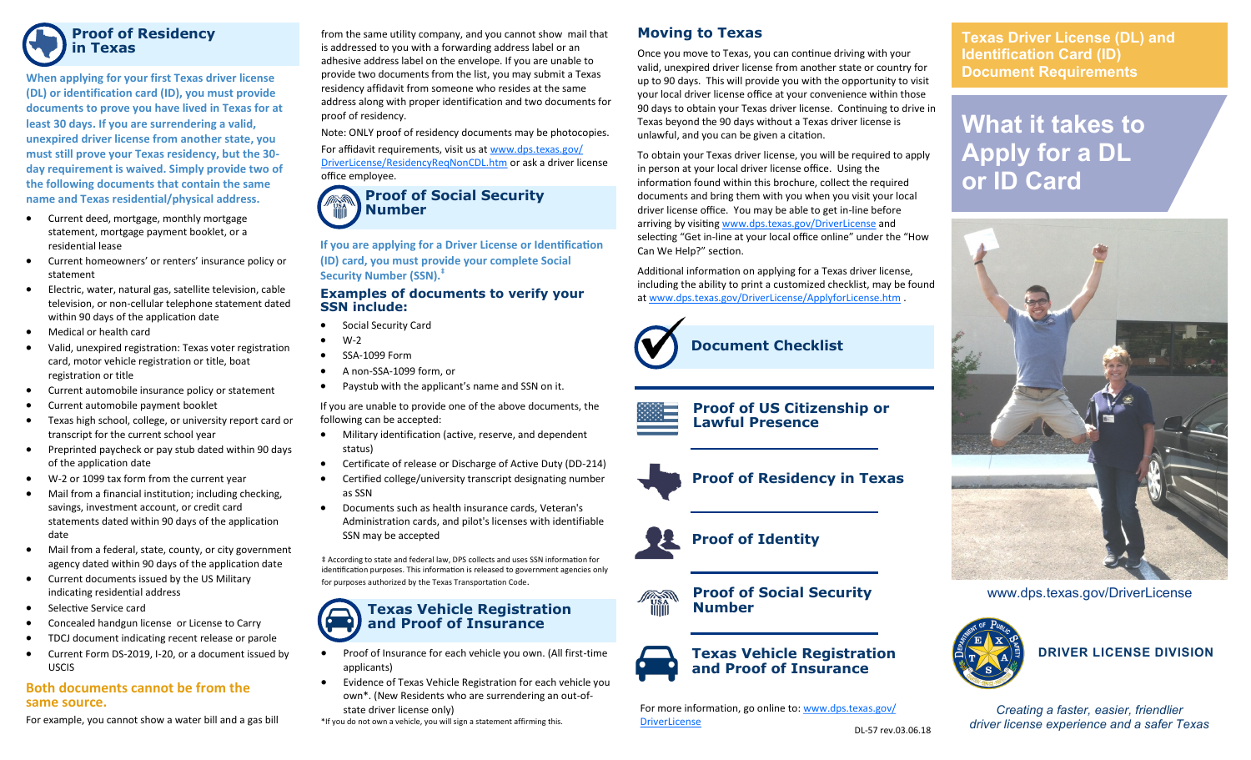

# **Proof of Residency in Texas**

**When applying for your first Texas driver license (DL) or identification card (ID), you must provide documents to prove you have lived in Texas for at least 30 days. If you are surrendering a valid, unexpired driver license from another state, you must still prove your Texas residency, but the 30 day requirement is waived. Simply provide two of the following documents that contain the same name and Texas residential/physical address.**

- Current deed, mortgage, monthly mortgage statement, mortgage payment booklet, or a residential lease
- Current homeowners' or renters' insurance policy or statement
- Electric, water, natural gas, satellite television, cable television, or non-cellular telephone statement dated within 90 days of the application date
- Medical or health card
- Valid, unexpired registration: Texas voter registration card, motor vehicle registration or title, boat registration or title
- Current automobile insurance policy or statement
- Current automobile payment booklet
- Texas high school, college, or university report card or transcript for the current school year
- Preprinted paycheck or pay stub dated within 90 days of the application date
- W-2 or 1099 tax form from the current year
- Mail from a financial institution; including checking, savings, investment account, or credit card statements dated within 90 days of the application date
- Mail from a federal, state, county, or city government agency dated within 90 days of the application date
- Current documents issued by the US Military indicating residential address
- Selective Service card
- Concealed handgun license or License to Carry
- TDCJ document indicating recent release or parole
- Current Form DS-2019, I-20, or a document issued by USCIS

**Both documents cannot be from the same source.**

#### For example, you cannot show a water bill and a gas bill

from the same utility company, and you cannot show mail that is addressed to you with a forwarding address label or an adhesive address label on the envelope. If you are unable to provide two documents from the list, you may submit a Texas residency affidavit from someone who resides at the same address along with proper identification and two documents for proof of residency.

Note: ONLY proof of residency documents may be photocopies. For affidavit requirements, visit us at www.dps.texas.gov/ DriverLicense/ResidencyReqNonCDL.htm or ask a driver license office employee.

# **Proof of Social Security Number**

**If you are applying for a Driver License or Identification (ID) card, you must provide your complete Social Security Number (SSN).‡**

#### **Examples of documents to verify your SSN include:**

- Social Security Card
- W-2
- SSA-1099 Form
- A non-SSA-1099 form, or
- Paystub with the applicant's name and SSN on it.

If you are unable to provide one of the above documents, the following can be accepted:

- Military identification (active, reserve, and dependent status)
- Certificate of release or Discharge of Active Duty (DD-214)
- Certified college/university transcript designating number as SSN
- Documents such as health insurance cards, Veteran's Administration cards, and pilot's licenses with identifiable SSN may be accepted

‡ According to state and federal law, DPS collects and uses SSN information for identification purposes. This information is released to government agencies only for purposes authorized by the Texas Transportation Code.

# **Texas Vehicle Registration and Proof of Insurance**

- Proof of Insurance for each vehicle you own. (All first-time applicants)
- Evidence of Texas Vehicle Registration for each vehicle you own\*. (New Residents who are surrendering an out-ofstate driver license only)
- \*If you do not own a vehicle, you will sign a statement affirming this.

# **Moving to Texas**

Once you move to Texas, you can continue driving with your valid, unexpired driver license from another state or country for up to 90 days. This will provide you with the opportunity to visit your local driver license office at your convenience within those 90 days to obtain your Texas driver license. Continuing to drive in Texas beyond the 90 days without a Texas driver license is unlawful, and you can be given a citation.

To obtain your Texas driver license, you will be required to apply in person at your local driver license office. Using the information found within this brochure, collect the required documents and bring them with you when you visit your local driver license office. You may be able to get in-line before arriving by visiting www.dps.texas.gov/DriverLicense and selecting "Get in-line at your local office online" under the "How Can We Help?" section.

Additional information on applying for a Texas driver license, including the ability to print a customized checklist, may be found at www.dps.texas.gov/DriverLicense/ApplyforLicense.htm .



**Document Checklist**













For more information, go online to: www.dps.texas.gov/ DriverLicense

**Texas Driver License (DL) and Identification Card (ID) Document Requirements** 

**What it takes to Apply for a DL or ID Card**



www.dps.texas.gov/DriverLicense



**DRIVER LICENSE DIVISION**

*Creating a faster, easier, friendlier driver license experience and a safer Texas*